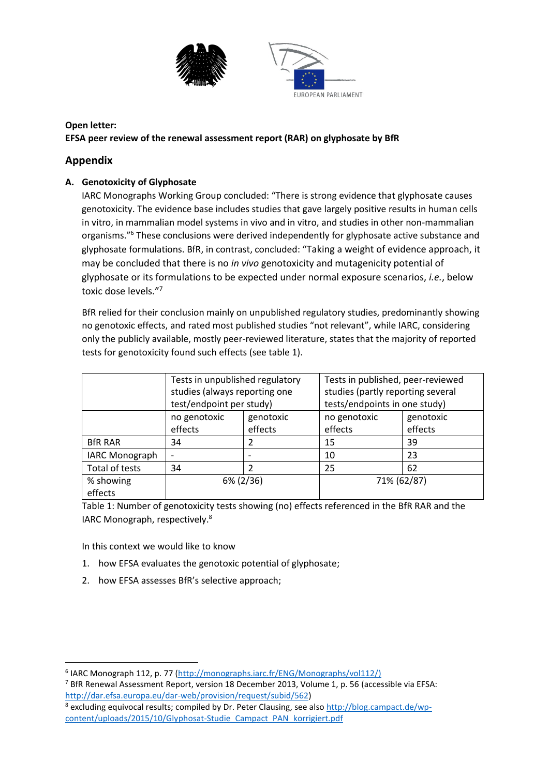

## **Open letter: EFSA peer review of the renewal assessment report (RAR) on glyphosate by BfR**

## **Appendix**

## **A. Genotoxicity of Glyphosate**

IARC Monographs Working Group concluded: "There is strong evidence that glyphosate causes genotoxicity. The evidence base includes studies that gave largely positive results in human cells in vitro, in mammalian model systems in vivo and in vitro, and studies in other non-mammalian organisms."<sup>6</sup> These conclusions were derived independently for glyphosate active substance and glyphosate formulations. BfR, in contrast, concluded: "Taking a weight of evidence approach, it may be concluded that there is no *in vivo* genotoxicity and mutagenicity potential of glyphosate or its formulations to be expected under normal exposure scenarios, *i.e.*, below toxic dose levels." 7

BfR relied for their conclusion mainly on unpublished regulatory studies, predominantly showing no genotoxic effects, and rated most published studies "not relevant", while IARC, considering only the publicly available, mostly peer-reviewed literature, states that the majority of reported tests for genotoxicity found such effects (see table 1).

|                       | Tests in unpublished regulatory<br>studies (always reporting one<br>test/endpoint per study) |                      | Tests in published, peer-reviewed<br>studies (partly reporting several<br>tests/endpoints in one study) |                      |
|-----------------------|----------------------------------------------------------------------------------------------|----------------------|---------------------------------------------------------------------------------------------------------|----------------------|
|                       | no genotoxic<br>effects                                                                      | genotoxic<br>effects | no genotoxic<br>effects                                                                                 | genotoxic<br>effects |
| <b>BfR RAR</b>        | 34                                                                                           |                      | 15                                                                                                      | 39                   |
| <b>IARC Monograph</b> |                                                                                              |                      | 10                                                                                                      | 23                   |
| Total of tests        | 34                                                                                           | 2                    | 25                                                                                                      | 62                   |
| % showing<br>effects  | 6% (2/36)                                                                                    |                      | 71% (62/87)                                                                                             |                      |

Table 1: Number of genotoxicity tests showing (no) effects referenced in the BfR RAR and the IARC Monograph, respectively.<sup>8</sup>

In this context we would like to know

1

- 1. how EFSA evaluates the genotoxic potential of glyphosate;
- 2. how EFSA assesses BfR's selective approach;

<sup>&</sup>lt;sup>6</sup> IARC Monograph 112, p. 77 [\(http://monographs.iarc.fr/ENG/Monographs/vol112/\)](http://monographs.iarc.fr/ENG/Monographs/vol112/)

<sup>7</sup> BfR Renewal Assessment Report, version 18 December 2013, Volume 1, p. 56 (accessible via EFSA: [http://dar.efsa.europa.eu/dar-web/provision/request/subid/562\)](http://dar.efsa.europa.eu/dar-web/provision/request/subid/562)

<sup>&</sup>lt;sup>8</sup> excluding equivocal results; compiled by Dr. Peter Clausing, see also [http://blog.campact.de/wp](http://blog.campact.de/wp-content/uploads/2015/10/Glyphosat-Studie_Campact_PAN_korrigiert.pdf)[content/uploads/2015/10/Glyphosat-Studie\\_Campact\\_PAN\\_korrigiert.pdf](http://blog.campact.de/wp-content/uploads/2015/10/Glyphosat-Studie_Campact_PAN_korrigiert.pdf)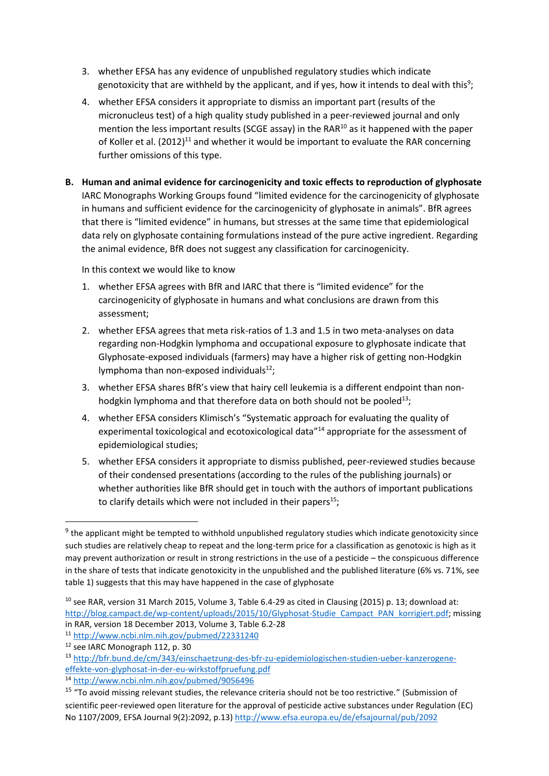- 3. whether EFSA has any evidence of unpublished regulatory studies which indicate genotoxicity that are withheld by the applicant, and if yes, how it intends to deal with this<sup>9</sup>;
- 4. whether EFSA considers it appropriate to dismiss an important part (results of the micronucleus test) of a high quality study published in a peer-reviewed journal and only mention the less important results (SCGE assay) in the RAR $^{10}$  as it happened with the paper of Koller et al. (2012)<sup>11</sup> and whether it would be important to evaluate the RAR concerning further omissions of this type.
- **B. Human and animal evidence for carcinogenicity and toxic effects to reproduction of glyphosate** IARC Monographs Working Groups found "limited evidence for the carcinogenicity of glyphosate in humans and sufficient evidence for the carcinogenicity of glyphosate in animals". BfR agrees that there is "limited evidence" in humans, but stresses at the same time that epidemiological data rely on glyphosate containing formulations instead of the pure active ingredient. Regarding the animal evidence, BfR does not suggest any classification for carcinogenicity.

In this context we would like to know

- 1. whether EFSA agrees with BfR and IARC that there is "limited evidence" for the carcinogenicity of glyphosate in humans and what conclusions are drawn from this assessment;
- 2. whether EFSA agrees that meta risk-ratios of 1.3 and 1.5 in two meta-analyses on data regarding non-Hodgkin lymphoma and occupational exposure to glyphosate indicate that Glyphosate-exposed individuals (farmers) may have a higher risk of getting non-Hodgkin lymphoma than non-exposed individuals $^{12}$ ;
- 3. whether EFSA shares BfR's view that hairy cell leukemia is a different endpoint than nonhodgkin lymphoma and that therefore data on both should not be pooled<sup>13</sup>;
- 4. whether EFSA considers Klimisch's "Systematic approach for evaluating the quality of experimental toxicological and ecotoxicological data<sup>"14</sup> appropriate for the assessment of epidemiological studies;
- 5. whether EFSA considers it appropriate to dismiss published, peer-reviewed studies because of their condensed presentations (according to the rules of the publishing journals) or whether authorities like BfR should get in touch with the authors of important publications to clarify details which were not included in their papers<sup>15</sup>;

1

<sup>&</sup>lt;sup>9</sup> the applicant might be tempted to withhold unpublished regulatory studies which indicate genotoxicity since such studies are relatively cheap to repeat and the long-term price for a classification as genotoxic is high as it may prevent authorization or result in strong restrictions in the use of a pesticide – the conspicuous difference in the share of tests that indicate genotoxicity in the unpublished and the published literature (6% vs. 71%, see table 1) suggests that this may have happened in the case of glyphosate

 $10$  see RAR, version 31 March 2015, Volume 3, Table 6.4-29 as cited in Clausing (2015) p. 13; download at: [http://blog.campact.de/wp-content/uploads/2015/10/Glyphosat-Studie\\_Campact\\_PAN\\_korrigiert.pdf;](http://blog.campact.de/wp-content/uploads/2015/10/Glyphosat-Studie_Campact_PAN_korrigiert.pdf) missing in RAR, version 18 December 2013, Volume 3, Table 6.2-28

<sup>11</sup> <http://www.ncbi.nlm.nih.gov/pubmed/22331240>

<sup>12</sup> see IARC Monograph 112, p. 30

<sup>13</sup> [http://bfr.bund.de/cm/343/einschaetzung-des-bfr-zu-epidemiologischen-studien-ueber-kanzerogene](http://bfr.bund.de/cm/343/einschaetzung-des-bfr-zu-epidemiologischen-studien-ueber-kanzerogene-effekte-von-glyphosat-in-der-eu-wirkstoffpruefung.pdf)[effekte-von-glyphosat-in-der-eu-wirkstoffpruefung.pdf](http://bfr.bund.de/cm/343/einschaetzung-des-bfr-zu-epidemiologischen-studien-ueber-kanzerogene-effekte-von-glyphosat-in-der-eu-wirkstoffpruefung.pdf) 

<sup>14</sup> <http://www.ncbi.nlm.nih.gov/pubmed/9056496>

<sup>&</sup>lt;sup>15</sup> "To avoid missing relevant studies, the relevance criteria should not be too restrictive." (Submission of scientific peer-reviewed open literature for the approval of pesticide active substances under Regulation (EC) No 1107/2009, EFSA Journal 9(2):2092, p.13)<http://www.efsa.europa.eu/de/efsajournal/pub/2092>